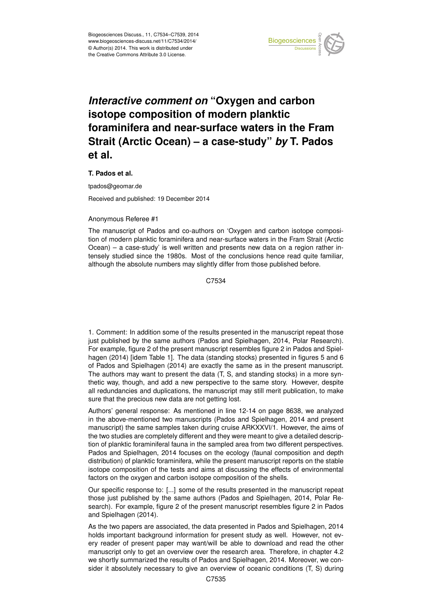

## *Interactive comment on* **"Oxygen and carbon isotope composition of modern planktic foraminifera and near-surface waters in the Fram Strait (Arctic Ocean) – a case-study"** *by* **T. Pados et al.**

## **T. Pados et al.**

tpados@geomar.de

Received and published: 19 December 2014

## Anonymous Referee #1

The manuscript of Pados and co-authors on 'Oxygen and carbon isotope composition of modern planktic foraminifera and near-surface waters in the Fram Strait (Arctic Ocean) – a case-study' is well written and presents new data on a region rather intensely studied since the 1980s. Most of the conclusions hence read quite familiar, although the absolute numbers may slightly differ from those published before.

C7534

1. Comment: In addition some of the results presented in the manuscript repeat those just published by the same authors (Pados and Spielhagen, 2014, Polar Research). For example, figure 2 of the present manuscript resembles figure 2 in Pados and Spielhagen (2014) [idem Table 1]. The data (standing stocks) presented in figures 5 and 6 of Pados and Spielhagen (2014) are exactly the same as in the present manuscript. The authors may want to present the data (T, S, and standing stocks) in a more synthetic way, though, and add a new perspective to the same story. However, despite all redundancies and duplications, the manuscript may still merit publication, to make sure that the precious new data are not getting lost.

Authors' general response: As mentioned in line 12-14 on page 8638, we analyzed in the above-mentioned two manuscripts (Pados and Spielhagen, 2014 and present manuscript) the same samples taken during cruise ARKXXVI/1. However, the aims of the two studies are completely different and they were meant to give a detailed description of planktic foraminiferal fauna in the sampled area from two different perspectives. Pados and Spielhagen, 2014 focuses on the ecology (faunal composition and depth distribution) of planktic foraminifera, while the present manuscript reports on the stable isotope composition of the tests and aims at discussing the effects of environmental factors on the oxygen and carbon isotope composition of the shells.

Our specific response to: [...] some of the results presented in the manuscript repeat those just published by the same authors (Pados and Spielhagen, 2014, Polar Research). For example, figure 2 of the present manuscript resembles figure 2 in Pados and Spielhagen (2014).

As the two papers are associated, the data presented in Pados and Spielhagen, 2014 holds important background information for present study as well. However, not every reader of present paper may want/will be able to download and read the other manuscript only to get an overview over the research area. Therefore, in chapter 4.2 we shortly summarized the results of Pados and Spielhagen, 2014. Moreover, we consider it absolutely necessary to give an overview of oceanic conditions (T, S) during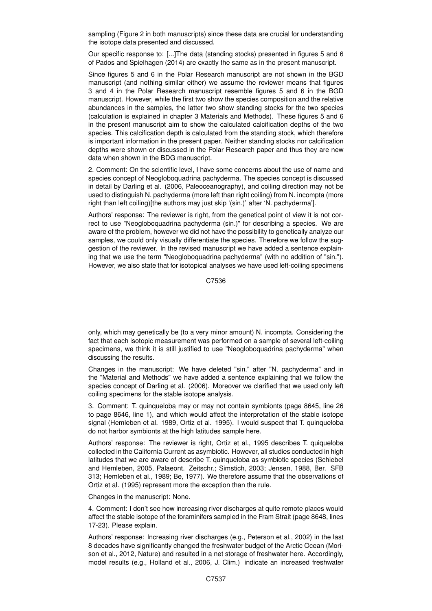sampling (Figure 2 in both manuscripts) since these data are crucial for understanding the isotope data presented and discussed.

Our specific response to: [...]The data (standing stocks) presented in figures 5 and 6 of Pados and Spielhagen (2014) are exactly the same as in the present manuscript.

Since figures 5 and 6 in the Polar Research manuscript are not shown in the BGD manuscript (and nothing similar either) we assume the reviewer means that figures 3 and 4 in the Polar Research manuscript resemble figures 5 and 6 in the BGD manuscript. However, while the first two show the species composition and the relative abundances in the samples, the latter two show standing stocks for the two species (calculation is explained in chapter 3 Materials and Methods). These figures 5 and 6 in the present manuscript aim to show the calculated calcification depths of the two species. This calcification depth is calculated from the standing stock, which therefore is important information in the present paper. Neither standing stocks nor calcification depths were shown or discussed in the Polar Research paper and thus they are new data when shown in the BDG manuscript.

2. Comment: On the scientific level, I have some concerns about the use of name and species concept of Neogloboquadrina pachyderma. The species concept is discussed in detail by Darling et al. (2006, Paleoceanography), and coiling direction may not be used to distinguish N. pachyderma (more left than right coiling) from N. incompta (more right than left coiling)[the authors may just skip '(sin.)' after 'N. pachyderma'].

Authors' response: The reviewer is right, from the genetical point of view it is not correct to use "Neogloboquadrina pachyderma (sin.)" for describing a species. We are aware of the problem, however we did not have the possibility to genetically analyze our samples, we could only visually differentiate the species. Therefore we follow the suggestion of the reviewer. In the revised manuscript we have added a sentence explaining that we use the term "Neogloboquadrina pachyderma" (with no addition of "sin."). However, we also state that for isotopical analyses we have used left-coiling specimens

C7536

only, which may genetically be (to a very minor amount) N. incompta. Considering the fact that each isotopic measurement was performed on a sample of several left-coiling specimens, we think it is still justified to use "Neogloboquadrina pachyderma" when discussing the results.

Changes in the manuscript: We have deleted "sin." after "N. pachyderma" and in the "Material and Methods" we have added a sentence explaining that we follow the species concept of Darling et al. (2006). Moreover we clarified that we used only left coiling specimens for the stable isotope analysis.

3. Comment: T. quinqueloba may or may not contain symbionts (page 8645, line 26 to page 8646, line 1), and which would affect the interpretation of the stable isotope signal (Hemleben et al. 1989, Ortiz et al. 1995). I would suspect that T. quinqueloba do not harbor symbionts at the high latitudes sample here.

Authors' response: The reviewer is right, Ortiz et al., 1995 describes T. quiqueloba collected in the California Current as asymbiotic. However, all studies conducted in high latitudes that we are aware of describe T. quinqueloba as symbiotic species (Schiebel and Hemleben, 2005, Palaeont. Zeitschr.; Simstich, 2003; Jensen, 1988, Ber. SFB 313; Hemleben et al., 1989; Be, 1977). We therefore assume that the observations of Ortiz et al. (1995) represent more the exception than the rule.

Changes in the manuscript: None.

4. Comment: I don't see how increasing river discharges at quite remote places would affect the stable isotope of the foraminifers sampled in the Fram Strait (page 8648, lines 17-23). Please explain.

Authors' response: Increasing river discharges (e.g., Peterson et al., 2002) in the last 8 decades have significantly changed the freshwater budget of the Arctic Ocean (Morison et al., 2012, Nature) and resulted in a net storage of freshwater here. Accordingly, model results (e.g., Holland et al., 2006, J. Clim.) indicate an increased freshwater